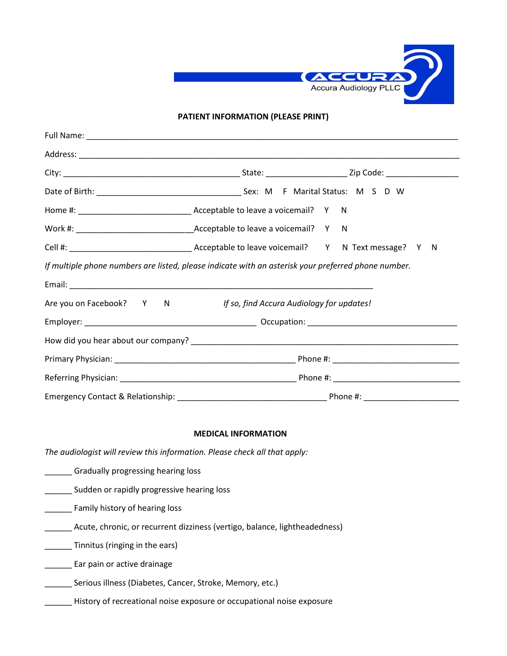

## **PATIENT INFORMATION (PLEASE PRINT)**

| If multiple phone numbers are listed, please indicate with an asterisk your preferred phone number. |                                                                    |  |  |  |  |
|-----------------------------------------------------------------------------------------------------|--------------------------------------------------------------------|--|--|--|--|
|                                                                                                     |                                                                    |  |  |  |  |
|                                                                                                     | Are you on Facebook? Y N If so, find Accura Audiology for updates! |  |  |  |  |
|                                                                                                     |                                                                    |  |  |  |  |
|                                                                                                     |                                                                    |  |  |  |  |
|                                                                                                     |                                                                    |  |  |  |  |
|                                                                                                     |                                                                    |  |  |  |  |
|                                                                                                     |                                                                    |  |  |  |  |

## **MEDICAL INFORMATION**

*The audiologist will review this information. Please check all that apply:* 

- **\_\_\_\_\_\_** Gradually progressing hearing loss
- **\_\_\_\_\_** Sudden or rapidly progressive hearing loss
- **\_\_\_\_\_\_** Family history of hearing loss
- \_\_\_\_\_\_ Acute, chronic, or recurrent dizziness (vertigo, balance, lightheadedness)
- \_\_\_\_\_\_ Tinnitus (ringing in the ears)
- \_\_\_\_\_\_ Ear pain or active drainage
- \_\_\_\_\_\_ Serious illness (Diabetes, Cancer, Stroke, Memory, etc.)
	- \_\_\_\_\_ History of recreational noise exposure or occupational noise exposure